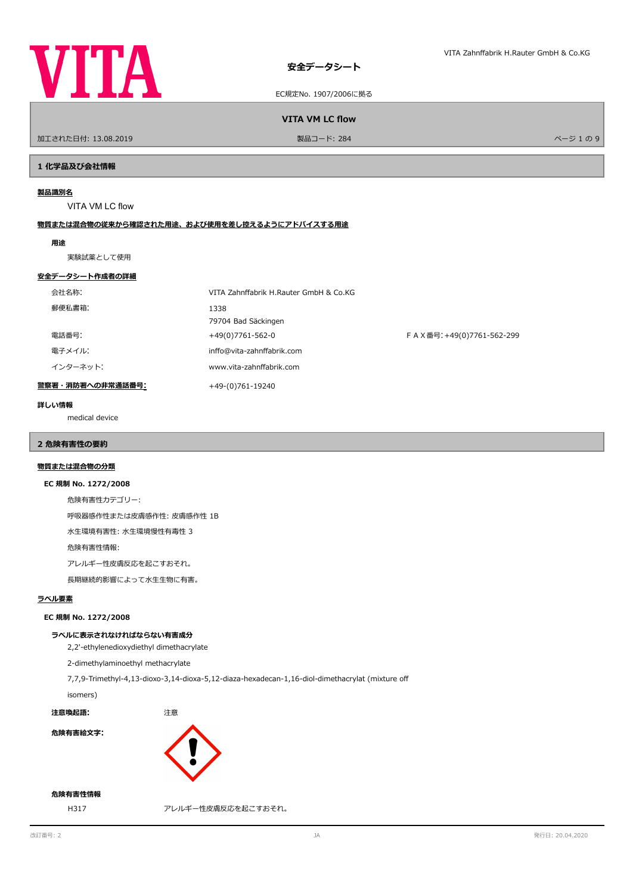

EC規定No. 1907/2006に拠る

**VITA VM LC flow** 

ールエされた日付: 13.08.2019 しかい こうしょう おおとこ かんきょう かんきょう 製品コード: 284 レード かんきょう かんきょう かんこう パージ 1 の 9

## **1 化学品及び会社情報**

## **製品識別名**

VITA VM LC flow

# **物質または混合物の従来から確認された用途、および使用を差し控えるようにアドバイスする用途**

## **用途**

実験試薬として使用

## **安全データシート作成者の詳細**

| 会社名称:            | VITA Zahnffabrik H.Rauter GmbH & Co.KG |                             |
|------------------|----------------------------------------|-----------------------------|
| 郵便私書箱:           | 1338<br>79704 Bad Säckingen            |                             |
| 電話番号:            | +49(0)7761-562-0                       | F A X番号: +49(0)7761-562-299 |
| 電子メイル:           | inffo@vita-zahnffabrik.com             |                             |
| インターネット:         | www.vita-zahnffabrik.com               |                             |
| 警察署・消防署への非常通話番号: | +49-(0)761-19240                       |                             |

## **詳しい情報**

medical device

# **2 危険有害性の要約**

# **物質または混合物の分類**

## **EC 規制 No. 1272/2008**

危険有害性カテゴリー:

呼吸器感作性または皮膚感作性: 皮膚感作性 1B

水生環境有害性: 水生環境慢性有毒性 3

危険有害性情報:

アレルギー性皮膚反応を起こすおそれ。

長期継続的影響によって水生生物に有害。

## **ラベル要素**

## **EC 規制 No. 1272/2008**

## **ラベルに表示されなければならない有害成分**

2,2'-ethylenedioxydiethyl dimethacrylate

2-dimethylaminoethyl methacrylate

7,7,9-Trimethyl-4,13-dioxo-3,14-dioxa-5,12-diaza-hexadecan-1,16-diol-dimethacrylat (mixture of

# isomers)

**注意喚起語:** 注意

**危険有害絵文字:**



# **危険有害性情報**

H317 アレルギー性皮膚反応を起こすおそれ。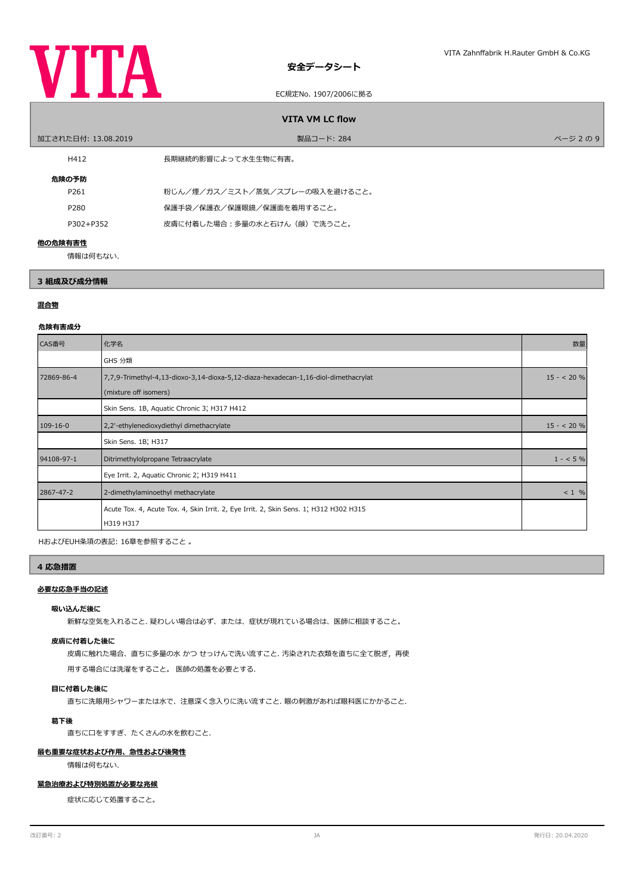

## EC規定No. 1907/2006に拠る

| <b>VITA VM LC flow</b> |                                |           |  |  |
|------------------------|--------------------------------|-----------|--|--|
| 加工された日付: 13.08.2019    | 製品コード: 284                     | ページ 2 の 9 |  |  |
| H412                   | 長期継続的影響によって水生生物に有害。            |           |  |  |
| 危険の予防                  |                                |           |  |  |
| P <sub>261</sub>       | 粉じん/煙/ガス/ミスト/蒸気/スプレーの吸入を避けること。 |           |  |  |
| P280                   | 保護手袋/保護衣/保護眼鏡/保護面を着用すること。      |           |  |  |
| P302+P352              | 皮膚に付着した場合:多量の水と石けん(鹸)で洗うこと。    |           |  |  |
| 他の危険有害性                |                                |           |  |  |
| 情報は何もない.               |                                |           |  |  |

# **3 組成及び成分情報**

# **混合物**

## **危険有害成分**

| CAS番号          | 化学名                                                                                                         | 数量         |
|----------------|-------------------------------------------------------------------------------------------------------------|------------|
|                | GHS 分類                                                                                                      |            |
| 72869-86-4     | 7,7,9-Trimethyl-4,13-dioxo-3,14-dioxa-5,12-diaza-hexadecan-1,16-diol-dimethacrylat<br>(mixture off isomers) | $15 - 20%$ |
|                | Skin Sens. 1B, Aquatic Chronic 3; H317 H412                                                                 |            |
| $109 - 16 - 0$ | 2,2'-ethylenedioxydiethyl dimethacrylate                                                                    | $15 - 20%$ |
|                | Skin Sens. 1B; H317                                                                                         |            |
| 94108-97-1     | Ditrimethylolpropane Tetraacrylate                                                                          | $1 - 5\%$  |
|                | Eye Irrit. 2, Aquatic Chronic 2; H319 H411                                                                  |            |
| 2867-47-2      | 2-dimethylaminoethyl methacrylate                                                                           | $< 1$ %    |
|                | Acute Tox. 4, Acute Tox. 4, Skin Irrit. 2, Eye Irrit. 2, Skin Sens. 1, H312 H302 H315<br>H319 H317          |            |

HおよびEUH条項の表記: 16章を参照すること 。

# **4 応急措置**

## **必要な応急手当の記述**

## **吸い込んだ後に**

新鮮な空気を入れること. 疑わしい場合は必ず、または、症状が現れている場合は、医師に相談すること。

## **皮膚に付着した後に**

皮膚に触れた場合、直ちに多量の水 かつ せっけんで洗い流すこと. 汚染された衣類を直ちに全て脱ぎ,再使

用する場合には洗濯をすること。 医師の処置を必要とする.

# **目に付着した後に**

直ちに洗眼用シャワーまたは水で、注意深く念入りに洗い流すこと. 眼の刺激があれば眼科医にかかること.

# **葛下後**

直ちに口をすすぎ、たくさんの水を飲むこと.

# **最も重要な症状および作用、急性および後発性**

情報は何もない.

# **緊急治療および特別処置が必要な兆候**

症状に応じて処置すること。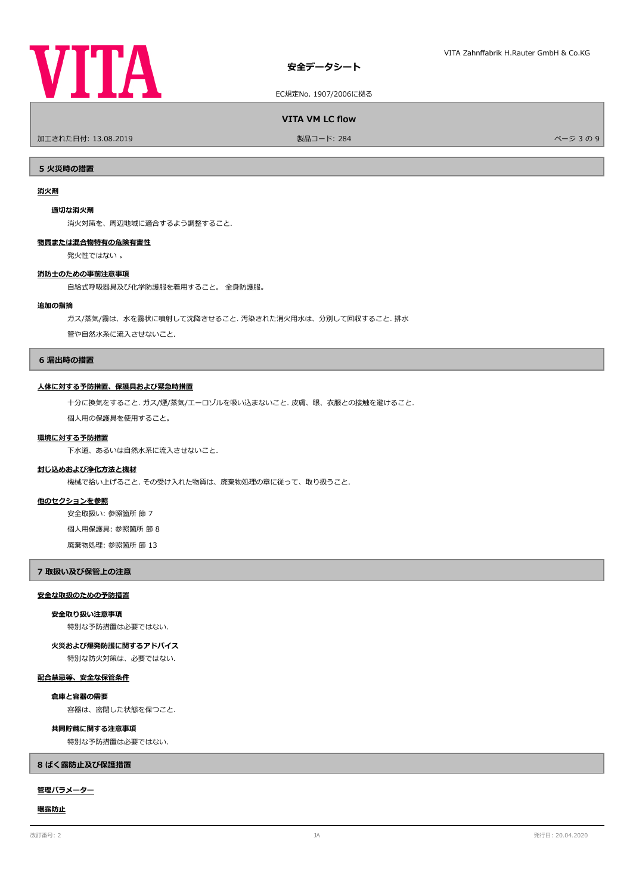

EC規定No. 1907/2006に拠る

**VITA VM LC flow** 

加工された日付: 13.08.2019 製品コード: 284 ページ 3 の 9

**5 火災時の措置**

## **消火剤**

## **適切な消火剤**

消火対策を、周辺地域に適合するよう調整すること.

## **物質または混合物特有の危険有害性**

発火性ではない 。

## **消防士のための事前注意事項**

自給式呼吸器具及び化学防護服を着用すること。 全身防護服。

## **追加の指摘**

ガス/蒸気/霧は、水を霧状に噴射して沈降させること. 汚染された消火用水は、分別して回収すること. 排水

管や自然水系に流入させないこと.

## **6 漏出時の措置**

## **人体に対する予防措置、保護具および緊急時措置**

十分に換気をすること. ガス/煙/蒸気/エーロゾルを吸い込まないこと. 皮膚、眼、衣服との接触を避けること.

個人用の保護具を使用すること。

## **環境に対する予防措置**

下水道、あるいは自然水系に流入させないこと.

## **封じ込めおよび浄化方法と機材**

機械で拾い上げること. その受け入れた物質は、廃棄物処理の章に従って、取り扱うこと.

## **他のセクションを参照**

安全取扱い: 参照箇所 節 7

個人用保護具: 参照箇所 節 8

廃棄物処理: 参照箇所 節 13

## **7 取扱い及び保管上の注意**

# **安全な取扱のための予防措置**

**安全取り扱い注意事項**

特別な予防措置は必要ではない.

## **火災および爆発防護に関するアドバイス**

特別な防火対策は、必要ではない.

## **配合禁忌等、安全な保管条件**

**倉庫と容器の需要**

容器は、密閉した状態を保つこと.

## **共同貯蔵に関する注意事項**

特別な予防措置は必要ではない.

## **8 ばく露防止及び保護措置**

## **管理パラメーター**

## **曝露防止**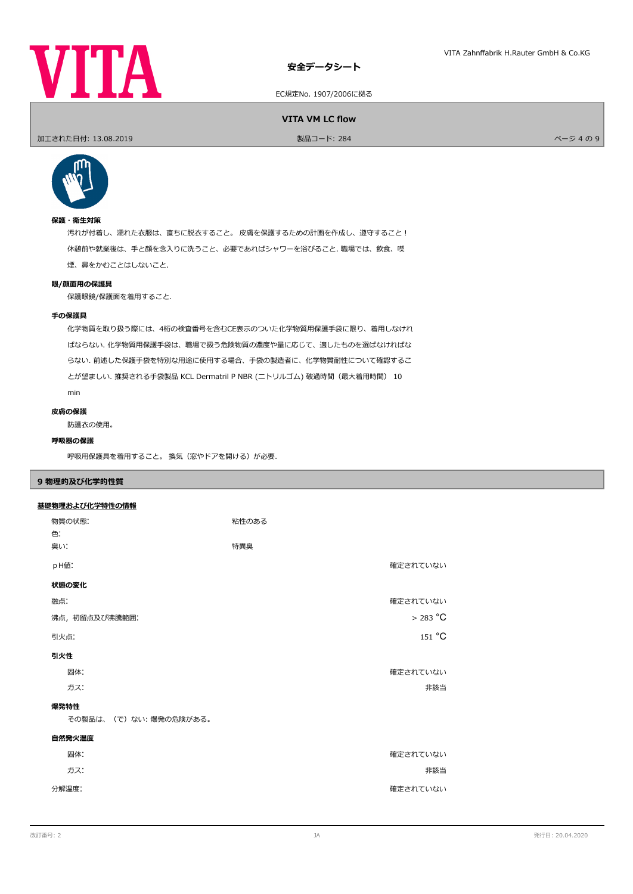

EC規定No. 1907/2006に拠る

**VITA VM LC flow** 

ールエされた日付: 13.08.2019 しかい こうしょう おおとこ かんきょう かんきょう 製品コード: 284 レード かんきょう かんきょう かんこう スタック パージ 4 の 9



# **保護・衛生対策**

汚れが付着し、濡れた衣服は、直ちに脱衣すること。 皮膚を保護するための計画を作成し、遵守すること! 休憩前や就業後は、手と顔を念入りに洗うこと、必要であればシャワーを浴びること. 職場では、飲食、喫 煙、鼻をかむことはしないこと.

## **眼/顔面用の保護具**

保護眼鏡/保護面を着用すること.

## **手の保護具**

化学物質を取り扱う際には、4桁の検査番号を含むCE表示のついた化学物質用保護手袋に限り、着用しなけれ ばならない. 化学物質用保護手袋は、職場で扱う危険物質の濃度や量に応じて、適したものを選ばなければな らない. 前述した保護手袋を特別な用途に使用する場合、手袋の製造者に、化学物質耐性について確認するこ とが望ましい. 推奨される手袋製品 KCL Dermatril P NBR (ニトリルゴム) 破過時間(最大着用時間) 10 min

防護衣の使用。 **皮膚の保護**

# **呼吸器の保護**

呼吸用保護具を着用すること。換気(窓やドアを開ける)が必要.

## **9 物理的及び化学的性質**

|--|

| 物質の状態:<br>色:          | 粘性のある     |
|-----------------------|-----------|
| 臭い:                   | 特異臭       |
| pH値:                  | 確定されていない  |
| 状態の変化                 |           |
| 融点:                   | 確定されていない  |
| 沸点, 初留点及び沸騰範囲:        | $>283$ °C |
| 引火点:                  | 151 °C    |
| 引火性                   |           |
| 固体:                   | 確定されていない  |
| ガス:                   | 非該当       |
| 爆発特性                  |           |
| その製品は、(で)ない:爆発の危険がある。 |           |
| 自然発火温度                |           |
| 固体:                   | 確定されていない  |
| ガス:                   | 非該当       |
| 分解温度:                 | 確定されていない  |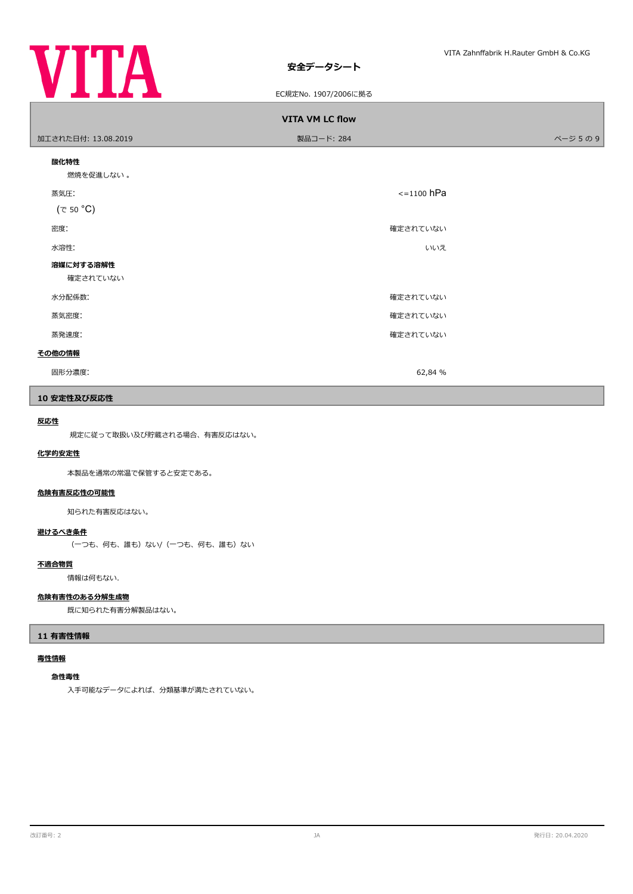

EC規定No. 1907/2006に拠る

| <b>VITA VM LC flow</b> |                 |        |  |  |
|------------------------|-----------------|--------|--|--|
| 加工された日付: 13.08.2019    | 製品コード: 284      | ページ5の9 |  |  |
| 酸化特性<br>燃焼を促進しない。      |                 |        |  |  |
| 蒸気圧:<br>$(\tau$ 50 °C) | $\le$ =1100 hPa |        |  |  |
| 密度:                    | 確定されていない        |        |  |  |
| 水溶性:                   | いいえ             |        |  |  |
| 溶媒に対する溶解性<br>確定されていない  |                 |        |  |  |
| 水分配係数:                 | 確定されていない        |        |  |  |
| 蒸気密度:                  | 確定されていない        |        |  |  |
| 蒸発速度:                  | 確定されていない        |        |  |  |
| その他の情報                 |                 |        |  |  |
| 固形分濃度:                 | 62,84 %         |        |  |  |

# **10 安定性及び反応性**

# **反応性**

規定に従って取扱い及び貯蔵される場合、有害反応はない。

## **化学的安定性**

本製品を通常の常温で保管すると安定である。

# **危険有害反応性の可能性**

知られた有害反応はない。

# **避けるべき条件**

(一つも、何も、誰も)ない/(一つも、何も、誰も)ない

## **不適合物質**

情報は何もない.

# **危険有害性のある分解生成物**

既に知られた有害分解製品はない。

# **11 有害性情報**

## **毒性情報**

# **急性毒性**

入手可能なデータによれば、分類基準が満たされていない。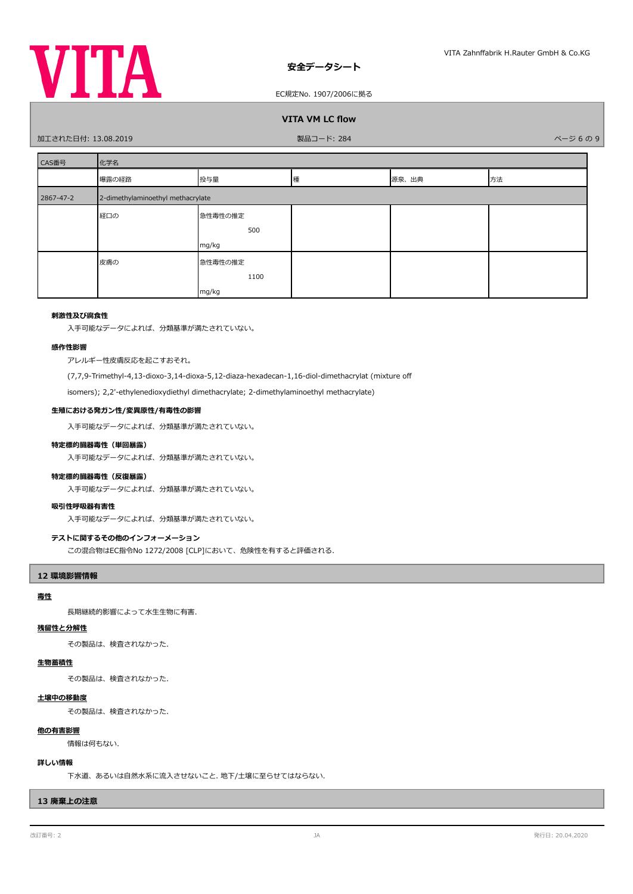

EC規定No. 1907/2006に拠る

# **VITA VM LC flow**

加工された日付: 13.08.2019 製品コード: 284 ページ 6 の 9

| CAS番号     | 化学名                               |         |   |       |    |
|-----------|-----------------------------------|---------|---|-------|----|
|           | 曝露の経路                             | 投与量     | 種 | 源泉、出典 | 方法 |
| 2867-47-2 | 2-dimethylaminoethyl methacrylate |         |   |       |    |
|           | 経口の                               | 急性毒性の推定 |   |       |    |
|           |                                   | 500     |   |       |    |
|           |                                   | mg/kg   |   |       |    |
|           | 皮膚の                               | 急性毒性の推定 |   |       |    |
|           |                                   | 1100    |   |       |    |
|           |                                   | mg/kg   |   |       |    |

## **刺激性及び腐食性**

入手可能なデータによれば、分類基準が満たされていない。

## **感作性影響**

アレルギー性皮膚反応を起こすおそれ。

(7,7,9-Trimethyl-4,13-dioxo-3,14-dioxa-5,12-diaza-hexadecan-1,16-diol-dimethacrylat (mixture of

isomers); 2,2'-ethylenedioxydiethyl dimethacrylate; 2-dimethylaminoethyl methacrylate)

## **生殖における発ガン性/変異原性/有毒性の影響**

入手可能なデータによれば、分類基準が満たされていない。

## **特定標的臓器毒性(単回暴露)**

入手可能なデータによれば、分類基準が満たされていない。

## **特定標的臓器毒性(反復暴露)**

入手可能なデータによれば、分類基準が満たされていない。

## **吸引性呼吸器有害性**

入手可能なデータによれば、分類基準が満たされていない。

## **テストに関するその他のインフォーメーション**

この混合物はEC指令No 1272/2008 [CLP]において、危険性を有すると評価される.

## **12 環境影響情報**

# **毒性**

長期継続的影響によって水生生物に有害.

# **残留性と分解性**

その製品は、検査されなかった.

# **生物蓄積性**

その製品は、検査されなかった.

# **土壌中の移動度**

その製品は、検査されなかった.

## **他の有害影響**

情報は何もない.

## **詳しい情報**

下水道、あるいは自然水系に流入させないこと. 地下/土壌に至らせてはならない.

# **13 廃棄上の注意**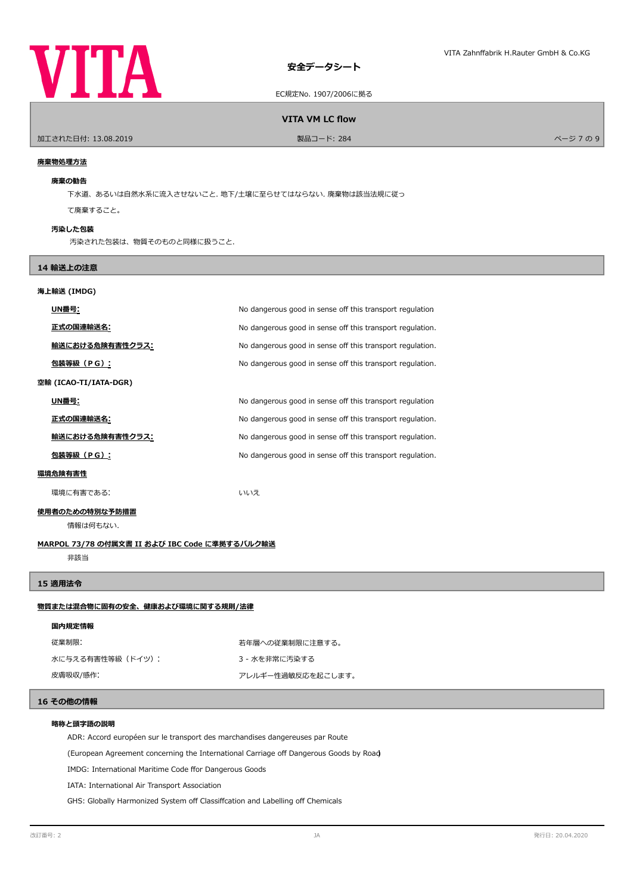

EC規定No. 1907/2006に拠る

## **VITA VM LC flow**

- 加工された日付: 13.08.2019 - インディング・コード: 284 - インディング・コード: 284 - インディング・コード: 284 - インディング 9 9 - インジ 7 の 9 - インジ 7 の 9

## **廃棄物処理方法**

#### **廃棄の勧告**

下水道、あるいは自然水系に流入させないこと. 地下/土壌に至らせてはならない. 廃棄物は該当法規に従っ

て廃棄すること。

## **汚染した包装**

汚染された包装は、物質そのものと同様に扱うこと.

# **14 輸送上の注意**

# **海上輸送 (IMDG)**

| UN番号:                  | No dangerous good in sense off this transport regulation  |
|------------------------|-----------------------------------------------------------|
| 正式の国連輸送名:              | No dangerous good in sense off this transport regulation. |
| <u>輸送における危険有害性クラス:</u> | No dangerous good in sense off this transport regulation. |
| 包装等級(PG):              | No dangerous good in sense off this transport regulation. |
| 空輸 (ICAO-TI/IATA-DGR)  |                                                           |
| UN番号:                  | No dangerous good in sense off this transport regulation  |
| 正式の国連輸送名:              | No dangerous good in sense off this transport regulation. |
| 輸送における危険有害性クラス:        | No dangerous good in sense off this transport regulation. |
| 包装等級 (PG):             | No dangerous good in sense off this transport regulation. |
| 環境危険有害性                |                                                           |
| 環境に有害である:              | いいえ                                                       |

## **使用者のための特別な予防措置**

情報は何もない.

## **MARPOL 73/78 の付属文書 II および IBC Code に準拠するバルク輸送**

非該当

## **15 適用法令**

# **物質または混合物に固有の安全、健康および環境に関する規則/法律**

| 国内規定情報 |  |
|--------|--|
|        |  |

従業制限: またのは、およびのおよびのののに、若年層への従業制限に注意する。 水に与える有害性等級(ドイツ): 3 - 水を非常に汚染する

皮膚吸収/感作: アレルギー性過敏反応を起こします。

# **16 その他の情報**

## **略称と頭字語の説明**

ADR: Accord européen sur le transport des marchandises dangereuses par Route

(European Agreement concerning the International Carriage of Dangerous Goods by Road)

IMDG: International Maritime Code ffor Dangerous Goods

IATA: International Air Transport Association

GHS: Globally Harmonized System off Classiffcation and Labelling off Chemicals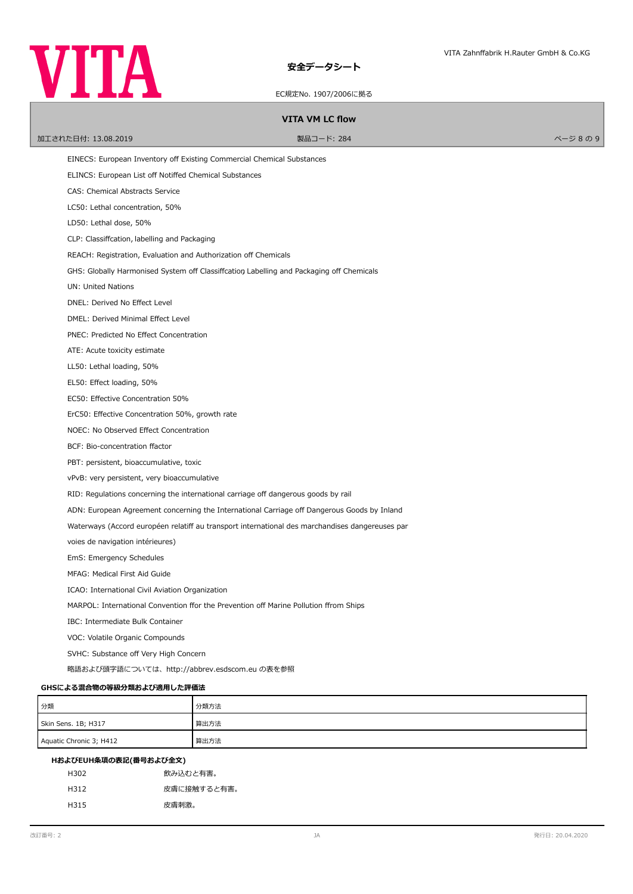

EC規定No. 1907/2006に拠る

## **VITA VM LC flow**

ールエされた日付: 13.08.2019 しかい こうしょう かんこうしゃ リード: 284 レード: 284 レード: 284 レーダー かんこうしょう かんこうしょう おんこうしょう おんこうしょう かんこうしょう

EINECS: European Inventory of Existing Commercial Chemical Substances ELINCS: European List off Notiffed Chemical Substances CAS: Chemical Abstracts Service LC50: Lethal concentration, 50% LD50: Lethal dose, 50% CLP: Classifcation, labelling and Packaging REACH: Registration, Evaluation and Authorization off Chemicals GHS: Globally Harmonised System off Classiffcation Labelling and Packaging off Chemicals UN: United Nations DNEL: Derived No Efect Level DMEL: Derived Minimal Efect Level PNEC: Predicted No Efect Concentration ATE: Acute toxicity estimate LL50: Lethal loading, 50% EL50: Efect loading, 50% EC50: Efective Concentration 50% ErC50: Efective Concentration 50%, growth rate NOEC: No Observed Efect Concentration BCF: Bio-concentration factor PBT: persistent, bioaccumulative, toxic vPvB: very persistent, very bioaccumulative RID: Regulations concerning the international carriage off dangerous goods by rail ADN: European Agreement concerning the International Carriage off Dangerous Goods by Inland Waterways (Accord européen relatiff au transport international des marchandises dangereuses par voies de navigation intérieures) EmS: Emergency Schedules MFAG: Medical First Aid Guide ICAO: International Civil Aviation Organization MARPOL: International Convention ffor the Prevention off Marine Pollution ffrom Ships IBC: Intermediate Bulk Container VOC: Volatile Organic Compounds SVHC: Substance off Very High Concern 略語および頭字語については、http://abbrev.esdscom.eu の表を参照 **GHSによる混合物の等級分類および適用した評価法** 分類 カランド しょうかん かいしょう かくりょう 分類方法 Skin Sens. 1B; H317 (算出方法) Aquatic Chronic 3; H412 <br>
算出方法

| HおよびEUH条項の表記(番号および全文) |             |  |
|-----------------------|-------------|--|
| H302                  | 飲み込むと有害。    |  |
| H312                  | 皮膚に接触すると有害。 |  |
| H315                  | 皮膚刺激。       |  |